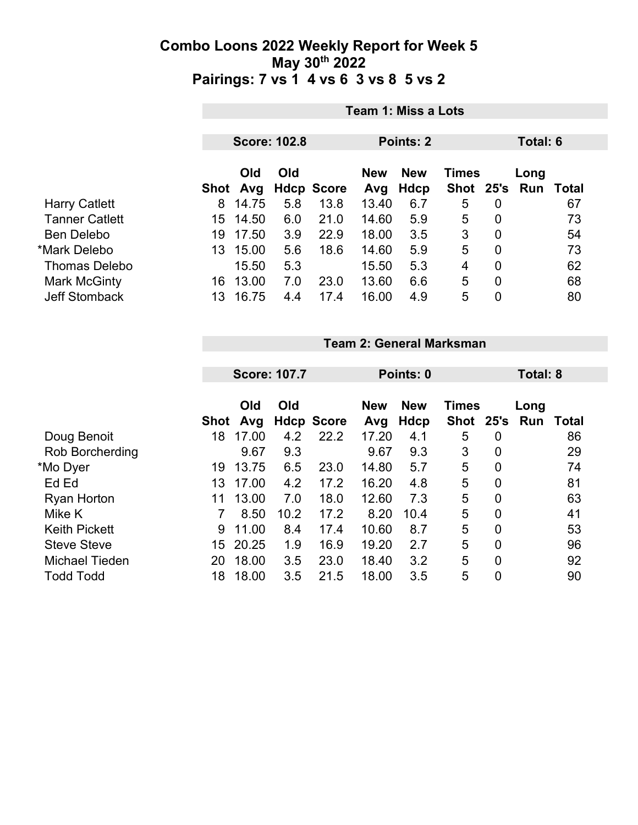|                       | Team 1: Miss a Lots                                 |          |     |                   |            |            |                |                |      |       |  |
|-----------------------|-----------------------------------------------------|----------|-----|-------------------|------------|------------|----------------|----------------|------|-------|--|
|                       | <b>Score: 102.8</b><br><b>Points: 2</b><br>Total: 6 |          |     |                   |            |            |                |                |      |       |  |
|                       | Old<br>Old                                          |          |     |                   | <b>New</b> | <b>New</b> | Times          |                | Long |       |  |
|                       |                                                     | Shot Avg |     | <b>Hdcp Score</b> | Avg        | Hdcp       | Shot 25's      |                | Run  | Total |  |
| <b>Harry Catlett</b>  | 8                                                   | 14.75    | 5.8 | 13.8              | 13.40      | 6.7        | 5              | 0              |      | 67    |  |
| <b>Tanner Catlett</b> | 15                                                  | 14.50    | 6.0 | 21.0              | 14.60      | 5.9        | 5              | 0              |      | 73    |  |
| <b>Ben Delebo</b>     | 19                                                  | 17.50    | 3.9 | 22.9              | 18.00      | 3.5        | 3              | 0              |      | 54    |  |
| *Mark Delebo          | 13                                                  | 15.00    | 5.6 | 18.6              | 14.60      | 5.9        | 5              | $\overline{0}$ |      | 73    |  |
| <b>Thomas Delebo</b>  |                                                     | 15.50    | 5.3 |                   | 15.50      | 5.3        | $\overline{4}$ | $\overline{0}$ |      | 62    |  |
| Mark McGinty          | 16                                                  | 13.00    | 7.0 | 23.0              | 13.60      | 6.6        | 5              | $\mathbf 0$    |      | 68    |  |
| <b>Jeff Stomback</b>  | 13                                                  | 16.75    | 4.4 | 17.4              | 16.00      | 4.9        | 5              | $\overline{0}$ |      | 80    |  |

# **Team 2: General Marksman**

|                      |                 | <b>Score: 107.7</b> |      |                   | Points: 0         | Total: 8           |                      |                |             |              |
|----------------------|-----------------|---------------------|------|-------------------|-------------------|--------------------|----------------------|----------------|-------------|--------------|
|                      | Shot            | Old<br>Avg          | Old  | <b>Hdcp Score</b> | <b>New</b><br>Avg | <b>New</b><br>Hdcp | <b>Times</b><br>Shot | 25's           | Long<br>Run | <b>Total</b> |
| Doug Benoit          | 18              | 17.00               | 4.2  | 22.2              | 17.20             | 4.1                | 5                    | 0              |             | 86           |
| Rob Borcherding      |                 | 9.67                | 9.3  |                   | 9.67              | 9.3                | 3                    | $\overline{0}$ |             | 29           |
| *Mo Dyer             | 19              | 13.75               | 6.5  | 23.0              | 14.80             | 5.7                | 5                    | $\overline{0}$ |             | 74           |
| Ed Ed                | 13              | 17.00               | 4.2  | 17.2              | 16.20             | 4.8                | 5                    | $\mathbf 0$    |             | 81           |
| <b>Ryan Horton</b>   | 11              | 13.00               | 7.0  | 18.0              | 12.60             | 7.3                | 5                    | $\mathbf 0$    |             | 63           |
| Mike K               |                 | 8.50                | 10.2 | 17.2              | 8.20              | 10.4               | 5                    | $\overline{0}$ |             | 41           |
| <b>Keith Pickett</b> | 9               | 11.00               | 8.4  | 17.4              | 10.60             | 8.7                | 5                    | $\overline{0}$ |             | 53           |
| <b>Steve Steve</b>   | 15 <sub>1</sub> | 20.25               | 1.9  | 16.9              | 19.20             | 2.7                | 5                    | $\overline{0}$ |             | 96           |
| Michael Tieden       | 20              | 18.00               | 3.5  | 23.0              | 18.40             | 3.2                | 5                    | $\overline{0}$ |             | 92           |
| <b>Todd Todd</b>     | 18              | 18.00               | 3.5  | 21.5              | 18.00             | 3.5                | 5                    | 0              |             | 90           |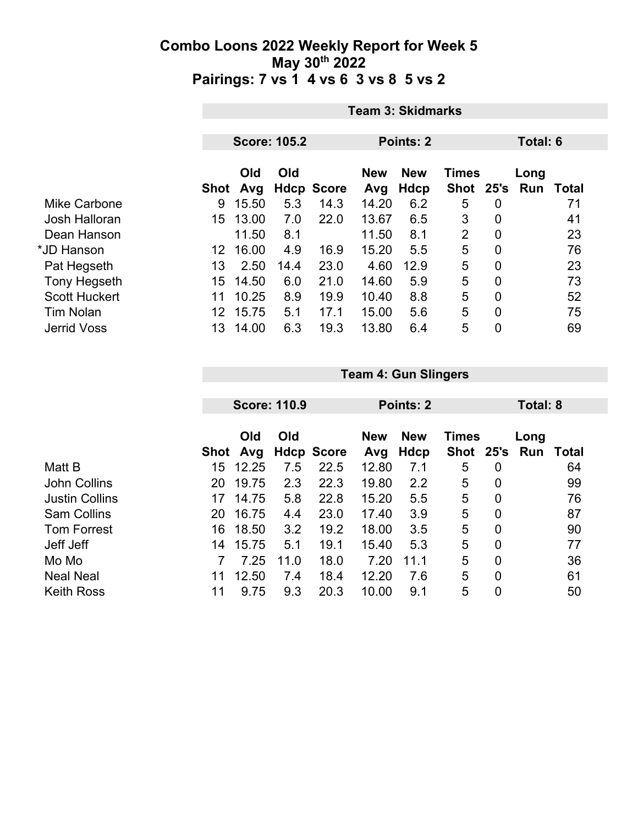|                      | <b>Team 3: Skidmarks</b> |                     |      |                   |            |             |                |             |                 |       |  |
|----------------------|--------------------------|---------------------|------|-------------------|------------|-------------|----------------|-------------|-----------------|-------|--|
|                      |                          |                     |      |                   |            |             |                |             |                 |       |  |
|                      |                          | <b>Score: 105.2</b> |      |                   |            | Points: 2   |                |             | <b>Total: 6</b> |       |  |
|                      |                          | Old                 | Old  |                   | <b>New</b> | <b>New</b>  | <b>Times</b>   |             | Long            |       |  |
|                      | <b>Shot</b>              | Avg                 |      | <b>Hdcp Score</b> | Avg        | <b>Hdcp</b> | <b>Shot</b>    | 25's        | Run             | Total |  |
| Mike Carbone         | 9                        | 15.50               | 5.3  | 14.3              | 14.20      | 6.2         | 5              | 0           |                 | 71    |  |
| Josh Halloran        | 15                       | 13.00               | 7.0  | 22.0              | 13.67      | 6.5         | 3              | 0           |                 | 41    |  |
| Dean Hanson          |                          | 11.50               | 8.1  |                   | 11.50      | 8.1         | $\overline{2}$ | $\mathbf 0$ |                 | 23    |  |
| *JD Hanson           | 12                       | 16.00               | 4.9  | 16.9              | 15.20      | 5.5         | 5              | 0           |                 | 76    |  |
| Pat Hegseth          | 13                       | 2.50                | 14.4 | 23.0              | 4.60       | 12.9        | 5              | 0           |                 | 23    |  |
| <b>Tony Hegseth</b>  | 15                       | 14.50               | 6.0  | 21.0              | 14.60      | 5.9         | 5              | 0           |                 | 73    |  |
| <b>Scott Huckert</b> | 11                       | 10.25               | 8.9  | 19.9              | 10.40      | 8.8         | 5              | 0           |                 | 52    |  |
| <b>Tim Nolan</b>     | 12                       | 15.75               | 5.1  | 17.1              | 15.00      | 5.6         | 5              | 0           |                 | 75    |  |
| <b>Jerrid Voss</b>   | 13                       | 14.00               | 6.3  | 19.3              | 13.80      | 6.4         | 5              | 0           |                 | 69    |  |

|                       | <b>Score: 110.9</b> |       |      |                   | Points: 2  |            |              |   | Total: 8 |              |  |
|-----------------------|---------------------|-------|------|-------------------|------------|------------|--------------|---|----------|--------------|--|
|                       |                     | Old   | Old  |                   | <b>New</b> | <b>New</b> | <b>Times</b> |   | Long     |              |  |
|                       | Shot                | Avg   |      | <b>Hdcp Score</b> | Avg        | Hdcp       | Shot 25's    |   | Run      | <b>Total</b> |  |
| Matt B                | 15                  | 12.25 | 7.5  | 22.5              | 12.80      | 7.1        | 5            | 0 |          | 64           |  |
| <b>John Collins</b>   | 20                  | 19.75 | 2.3  | 22.3              | 19.80      | 2.2        | 5            | 0 |          | 99           |  |
| <b>Justin Collins</b> | 17                  | 14.75 | 5.8  | 22.8              | 15.20      | 5.5        | 5            | 0 |          | 76           |  |
| <b>Sam Collins</b>    | 20                  | 16.75 | 4.4  | 23.0              | 17.40      | 3.9        | 5            | 0 |          | 87           |  |
| <b>Tom Forrest</b>    | 16                  | 18.50 | 3.2  | 19.2              | 18.00      | 3.5        | 5            | 0 |          | 90           |  |
| Jeff Jeff             | 14                  | 15.75 | 5.1  | 19.1              | 15.40      | 5.3        | 5            | 0 |          | 77           |  |
| Mo Mo                 |                     | 7.25  | 11.0 | 18.0              | 7.20       | 11.1       | 5            | 0 |          | 36           |  |
| <b>Neal Neal</b>      | 11                  | 12.50 | 7.4  | 18.4              | 12.20      | 7.6        | 5            | 0 |          | 61           |  |
| <b>Keith Ross</b>     | 11                  | 9.75  | 9.3  | 20.3              | 10.00      | 9.1        | 5            | 0 |          | 50           |  |

**Team 4: Gun Slingers**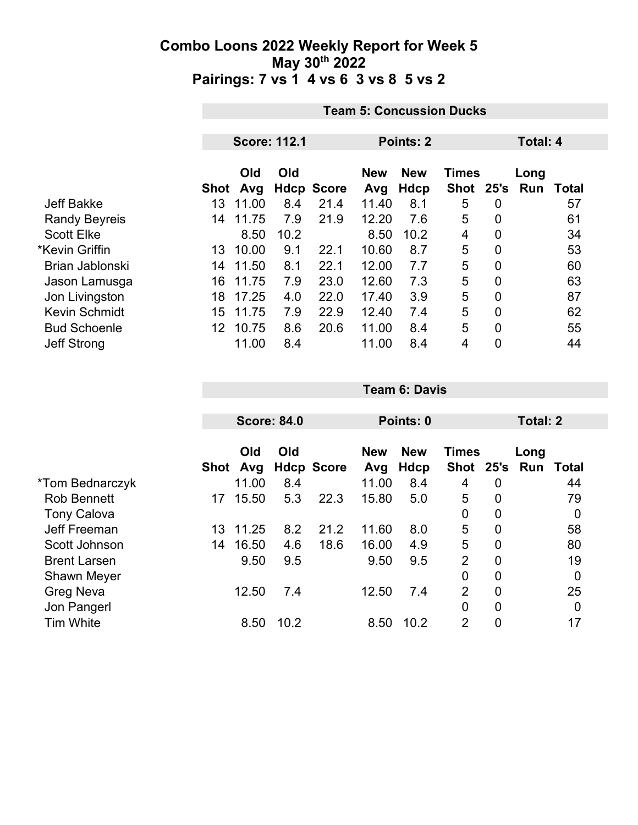|                      |      | <b>Team 5: Concussion Ducks</b> |      |                   |                   |                    |                           |                |             |       |  |
|----------------------|------|---------------------------------|------|-------------------|-------------------|--------------------|---------------------------|----------------|-------------|-------|--|
|                      |      |                                 |      |                   |                   |                    |                           |                |             |       |  |
|                      |      | <b>Score: 112.1</b>             |      |                   |                   | Points: 2          |                           |                | Total: 4    |       |  |
|                      | Shot | Old<br>Avg                      | Old  | <b>Hdcp Score</b> | <b>New</b><br>Avg | <b>New</b><br>Hdcp | <b>Times</b><br>Shot 25's |                | Long<br>Run | Total |  |
| <b>Jeff Bakke</b>    | 13   | 11.00                           | 8.4  | 21.4              | 11.40             | 8.1                | 5                         | 0              |             | 57    |  |
| <b>Randy Beyreis</b> | 14   | 11.75                           | 7.9  | 21.9              | 12.20             | 7.6                | 5                         | $\overline{0}$ |             | 61    |  |
| <b>Scott Elke</b>    |      | 8.50                            | 10.2 |                   | 8.50              | 10.2               | 4                         | 0              |             | 34    |  |
| *Kevin Griffin       | 13.  | 10.00                           | 9.1  | 22.1              | 10.60             | 8.7                | 5                         | 0              |             | 53    |  |
| Brian Jablonski      | 14   | 11.50                           | 8.1  | 22.1              | 12.00             | 7.7                | 5                         | $\mathbf{0}$   |             | 60    |  |
| Jason Lamusga        | 16   | 11.75                           | 7.9  | 23.0              | 12.60             | 7.3                | 5                         | 0              |             | 63    |  |
| Jon Livingston       | 18   | 17.25                           | 4.0  | 22.0              | 17.40             | 3.9                | 5                         | 0              |             | 87    |  |
| <b>Kevin Schmidt</b> | 15   | 11.75                           | 7.9  | 22.9              | 12.40             | 7.4                | 5                         | $\overline{0}$ |             | 62    |  |
| <b>Bud Schoenle</b>  | 12   | 10.75                           | 8.6  | 20.6              | 11.00             | 8.4                | 5                         | $\overline{0}$ |             | 55    |  |
| <b>Jeff Strong</b>   |      | 11.00                           | 8.4  |                   | 11.00             | 8.4                | 4                         | 0              |             | 44    |  |

|                     |      |                    |      |                   |            | Points: 0  |                           |                | <b>Total: 2</b> |                |  |
|---------------------|------|--------------------|------|-------------------|------------|------------|---------------------------|----------------|-----------------|----------------|--|
|                     |      | <b>Score: 84.0</b> |      |                   |            |            |                           |                |                 |                |  |
|                     |      | Old                | Old  |                   | <b>New</b> | <b>New</b> | <b>Times</b><br>Shot 25's |                | Long<br>Run     |                |  |
|                     | Shot | Avg                |      | <b>Hdcp Score</b> | Avg        | Hdcp       |                           |                |                 | Total          |  |
| *Tom Bednarczyk     |      | 11.00              | 8.4  |                   | 11.00      | 8.4        | 4                         | 0              |                 | 44             |  |
| <b>Rob Bennett</b>  | 17   | 15.50              | 5.3  | 22.3              | 15.80      | 5.0        | 5                         | 0              |                 | 79             |  |
| <b>Tony Calova</b>  |      |                    |      |                   |            |            | 0                         | 0              |                 | 0              |  |
| Jeff Freeman        | 13   | 11.25              | 8.2  | 21.2              | 11.60      | 8.0        | 5                         | 0              |                 | 58             |  |
| Scott Johnson       | 14   | 16.50              | 4.6  | 18.6              | 16.00      | 4.9        | 5                         | 0              |                 | 80             |  |
| <b>Brent Larsen</b> |      | 9.50               | 9.5  |                   | 9.50       | 9.5        | $\overline{2}$            | 0              |                 | 19             |  |
| <b>Shawn Meyer</b>  |      |                    |      |                   |            |            | 0                         | 0              |                 | $\overline{0}$ |  |
| <b>Greg Neva</b>    |      | 12.50              | 7.4  |                   | 12.50      | 7.4        | $\overline{2}$            | $\overline{0}$ |                 | 25             |  |
| Jon Pangerl         |      |                    |      |                   |            |            | 0                         | 0              |                 | 0              |  |
| <b>Tim White</b>    |      | 8.50               | 10.2 |                   | 8.50       | 10.2       | $\overline{2}$            | $\overline{0}$ |                 | 17             |  |

**Team 6: Davis**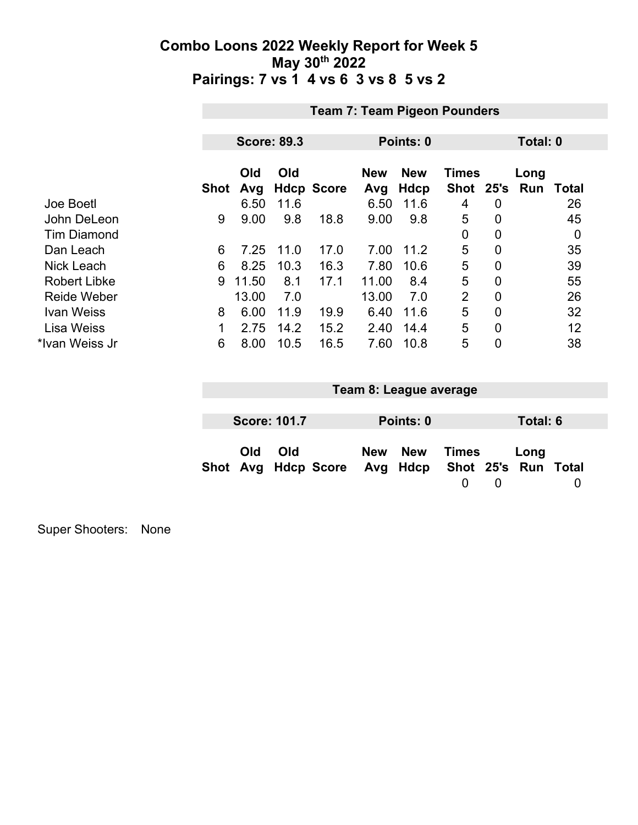|                     | <b>Team 7: Team Pigeon Pounders</b> |                    |      |                   |                   |                    |                           |                |                    |       |  |
|---------------------|-------------------------------------|--------------------|------|-------------------|-------------------|--------------------|---------------------------|----------------|--------------------|-------|--|
|                     |                                     |                    |      |                   |                   |                    |                           |                |                    |       |  |
|                     |                                     | <b>Score: 89.3</b> |      |                   |                   | Points: 0          |                           |                | Total: 0           |       |  |
|                     | <b>Shot</b>                         | Old<br>Avg         | Old  | <b>Hdcp Score</b> | <b>New</b><br>Avg | <b>New</b><br>Hdcp | <b>Times</b><br>Shot 25's |                | Long<br><b>Run</b> | Total |  |
| Joe Boetl           |                                     | 6.50               | 11.6 |                   | 6.50              | 11.6               | 4                         | 0              |                    | 26    |  |
| John DeLeon         | 9                                   | 9.00               | 9.8  | 18.8              | 9.00              | 9.8                | 5                         | $\overline{0}$ |                    | 45    |  |
| <b>Tim Diamond</b>  |                                     |                    |      |                   |                   |                    | 0                         | $\overline{0}$ |                    | 0     |  |
| Dan Leach           | 6                                   | 7.25               | 11.0 | 17.0              | 7.00              | 11.2               | 5                         | 0              |                    | 35    |  |
| <b>Nick Leach</b>   | 6                                   | 8.25               | 10.3 | 16.3              | 7.80              | 10.6               | 5                         | 0              |                    | 39    |  |
| <b>Robert Libke</b> | 9                                   | 11.50              | 8.1  | 17.1              | 11.00             | 8.4                | 5                         | $\overline{0}$ |                    | 55    |  |
| <b>Reide Weber</b>  |                                     | 13.00              | 7.0  |                   | 13.00             | 7.0                | $\overline{2}$            | 0              |                    | 26    |  |
| <b>Ivan Weiss</b>   | 8                                   | 6.00               | 11.9 | 19.9              | 6.40              | 11.6               | 5                         | $\overline{0}$ |                    | 32    |  |
| <b>Lisa Weiss</b>   | 1                                   | 2.75               | 14.2 | 15.2              | 2.40              | 14.4               | 5                         | $\overline{0}$ |                    | 12    |  |
| *Ivan Weiss Jr      | 6                                   | 8.00               | 10.5 | 16.5              | 7.60              | 10.8               | 5                         | 0              |                    | 38    |  |

|                     |     |                                                  | Team 8: League average |       |   |          |  |
|---------------------|-----|--------------------------------------------------|------------------------|-------|---|----------|--|
|                     |     |                                                  |                        |       |   |          |  |
| <b>Score: 101.7</b> |     |                                                  | Points: 0              |       |   | Total: 6 |  |
| Old                 | Old | Shot Avg Hdcp Score Avg Hdcp Shot 25's Run Total | New New                | Times | 0 | Long     |  |

Super Shooters: None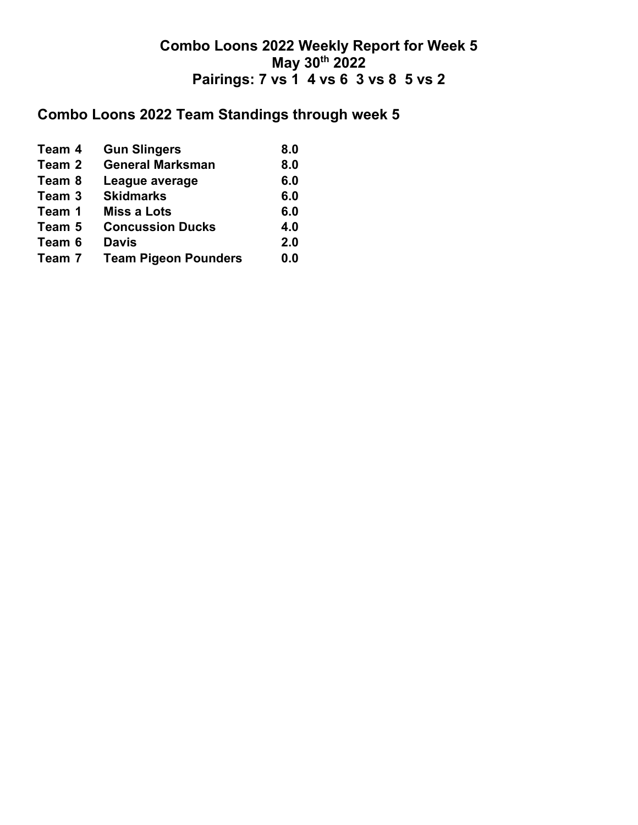### **Combo Loons 2022 Team Standings through week 5**

| <b>Gun Slingers</b>         | 8.0 |
|-----------------------------|-----|
| <b>General Marksman</b>     | 8.0 |
| League average              | 6.0 |
| <b>Skidmarks</b>            | 6.0 |
| <b>Miss a Lots</b>          | 6.0 |
| <b>Concussion Ducks</b>     | 4.0 |
| <b>Davis</b>                | 2.0 |
| <b>Team Pigeon Pounders</b> | 0.0 |
|                             |     |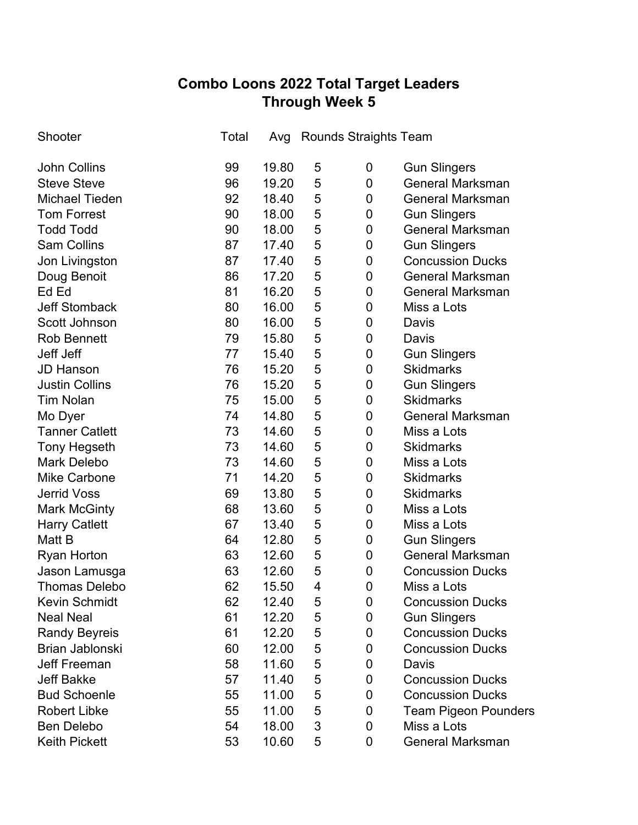## **Combo Loons 2022 Total Target Leaders Through Week 5**

| Shooter               | Total | Avg   |   | Rounds Straights Team |                             |
|-----------------------|-------|-------|---|-----------------------|-----------------------------|
| <b>John Collins</b>   | 99    | 19.80 | 5 | 0                     | <b>Gun Slingers</b>         |
| <b>Steve Steve</b>    | 96    | 19.20 | 5 | 0                     | <b>General Marksman</b>     |
| <b>Michael Tieden</b> | 92    | 18.40 | 5 | 0                     | <b>General Marksman</b>     |
| <b>Tom Forrest</b>    | 90    | 18.00 | 5 | 0                     | <b>Gun Slingers</b>         |
| <b>Todd Todd</b>      | 90    | 18.00 | 5 | 0                     | <b>General Marksman</b>     |
| <b>Sam Collins</b>    | 87    | 17.40 | 5 | 0                     | <b>Gun Slingers</b>         |
| Jon Livingston        | 87    | 17.40 | 5 | 0                     | <b>Concussion Ducks</b>     |
| Doug Benoit           | 86    | 17.20 | 5 | 0                     | <b>General Marksman</b>     |
| Ed Ed                 | 81    | 16.20 | 5 | 0                     | <b>General Marksman</b>     |
| <b>Jeff Stomback</b>  | 80    | 16.00 | 5 | 0                     | Miss a Lots                 |
| Scott Johnson         | 80    | 16.00 | 5 | 0                     | Davis                       |
| <b>Rob Bennett</b>    | 79    | 15.80 | 5 | 0                     | Davis                       |
| Jeff Jeff             | 77    | 15.40 | 5 | 0                     | <b>Gun Slingers</b>         |
| <b>JD Hanson</b>      | 76    | 15.20 | 5 | 0                     | <b>Skidmarks</b>            |
| <b>Justin Collins</b> | 76    | 15.20 | 5 | 0                     | <b>Gun Slingers</b>         |
| <b>Tim Nolan</b>      | 75    | 15.00 | 5 | $\mathbf 0$           | <b>Skidmarks</b>            |
| Mo Dyer               | 74    | 14.80 | 5 | 0                     | <b>General Marksman</b>     |
| <b>Tanner Catlett</b> | 73    | 14.60 | 5 | 0                     | Miss a Lots                 |
| <b>Tony Hegseth</b>   | 73    | 14.60 | 5 | 0                     | <b>Skidmarks</b>            |
| <b>Mark Delebo</b>    | 73    | 14.60 | 5 | 0                     | Miss a Lots                 |
| <b>Mike Carbone</b>   | 71    | 14.20 | 5 | 0                     | <b>Skidmarks</b>            |
| <b>Jerrid Voss</b>    | 69    | 13.80 | 5 | $\mathbf 0$           | <b>Skidmarks</b>            |
| <b>Mark McGinty</b>   | 68    | 13.60 | 5 | 0                     | Miss a Lots                 |
| <b>Harry Catlett</b>  | 67    | 13.40 | 5 | 0                     | Miss a Lots                 |
| Matt B                | 64    | 12.80 | 5 | $\mathbf 0$           | <b>Gun Slingers</b>         |
| <b>Ryan Horton</b>    | 63    | 12.60 | 5 | 0                     | <b>General Marksman</b>     |
| Jason Lamusga         | 63    | 12.60 | 5 | 0                     | <b>Concussion Ducks</b>     |
| <b>Thomas Delebo</b>  | 62    | 15.50 | 4 | 0                     | Miss a Lots                 |
| <b>Kevin Schmidt</b>  | 62    | 12.40 | 5 | 0                     | <b>Concussion Ducks</b>     |
| <b>Neal Neal</b>      | 61    | 12.20 | 5 | 0                     | <b>Gun Slingers</b>         |
| <b>Randy Beyreis</b>  | 61    | 12.20 | 5 | 0                     | <b>Concussion Ducks</b>     |
| Brian Jablonski       | 60    | 12.00 | 5 | 0                     | <b>Concussion Ducks</b>     |
| <b>Jeff Freeman</b>   | 58    | 11.60 | 5 | 0                     | Davis                       |
| <b>Jeff Bakke</b>     | 57    | 11.40 | 5 | 0                     | <b>Concussion Ducks</b>     |
| <b>Bud Schoenle</b>   | 55    | 11.00 | 5 | 0                     | <b>Concussion Ducks</b>     |
| <b>Robert Libke</b>   | 55    | 11.00 | 5 | 0                     | <b>Team Pigeon Pounders</b> |
| <b>Ben Delebo</b>     | 54    | 18.00 | 3 | 0                     | Miss a Lots                 |
| <b>Keith Pickett</b>  | 53    | 10.60 | 5 | 0                     | <b>General Marksman</b>     |